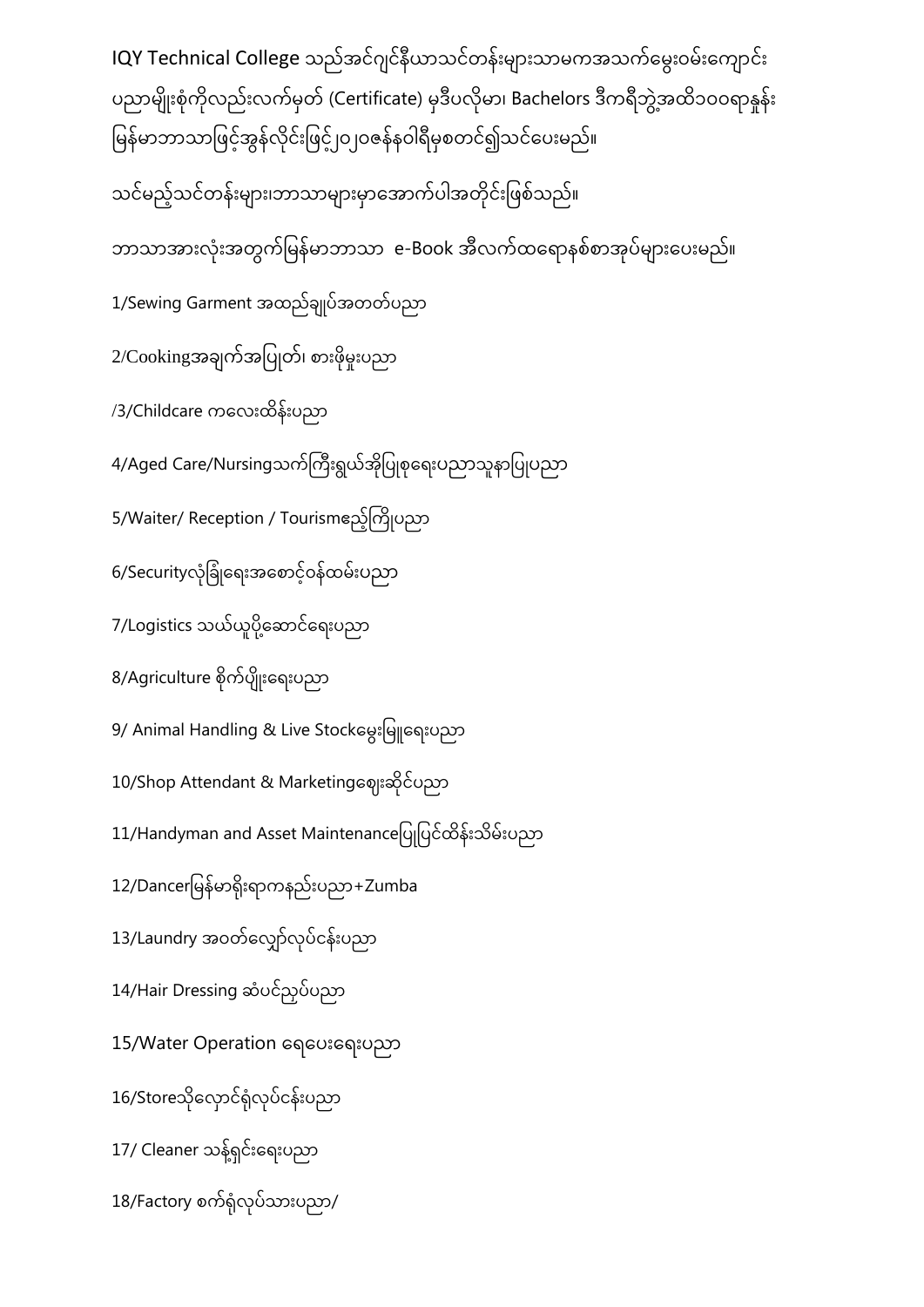IQY Technical College သည်အင်ဂျင်နီယာသင်တန်းများသာမကအသက်မွေးဝမ်းကျောင်း ပညာမျိုးစုံကိုလည်းလက်မှတ် (Certificate) မုဒီပလိုမာ၊ Bachelors ဒီကရီဘွဲ့အထိ၁၀၀ရာနှန်း မြန်မာဘာသာဖြင့်အွန်လိုင်းဖြင့် <sub>l</sub>o <sub>l</sub>oဇန်နဝါရီမှစတင်၍သင်ပေးမည်။ ုံ သင်မည့်သင်တန်းများ၊ဘာသာများမှာအောက်ပါအတိုင်းဖြစ်သည်။ ဘာသာအားလုံးအတွက်မြန်မာဘာသာ e-Book အီလက်ထရောနစ်စာအုပ်များပေးမည်။ 1/Sewing Garment အထည်ချုပ်အတတ်ပညာ 2/Cookingအချက်အပြုတ်၊ စားဖိုမူးပညာ /3/Childcare ကလေးထိန်းပညာ 4/Aged Care/Nursingသက်ကြီးရွယ်အိုပြုစုရေးပညာသူနာပြုပညာ 5/Waiter/ Reception / Tourismဧည့်ကြိုပညာ 6/Securityလုံခြုံရေးအစောင့်ဝန်ထမ်းပညာ 7/Logistics သယ်ယူပို့ဆောင်ရေးပညာ 8/Agriculture စိုက်ပျိုးရေးပညာ 9/ Animal Handling & Live Stockမွေးမြူရေးပညာ 10/Shop Attendant & Marketingဈေးဆိုင်ပညာ 11/Handyman and Asset Maintenanceပြုပြင်ထိန်းသိမ်းပညာ  $12$ /Dancerမြန်မာရိုးရာကနည်းပညာ+Zumba 13/Laundry အဝတ်လျှော်လုပ်ငန်းပညာ 14/Hair Dressing ဆံပင်ညုပ်ပညာ 15/Water Operation ရေပေးရေးပညာ 16/Storeသိုလှောင်ရုံလုပ်ငန်းပညာ 17/ Cleaner သန့်ရှင်းရေးပညာ  $18$ /Factory စက်ရုံလုပ်သားပညာ/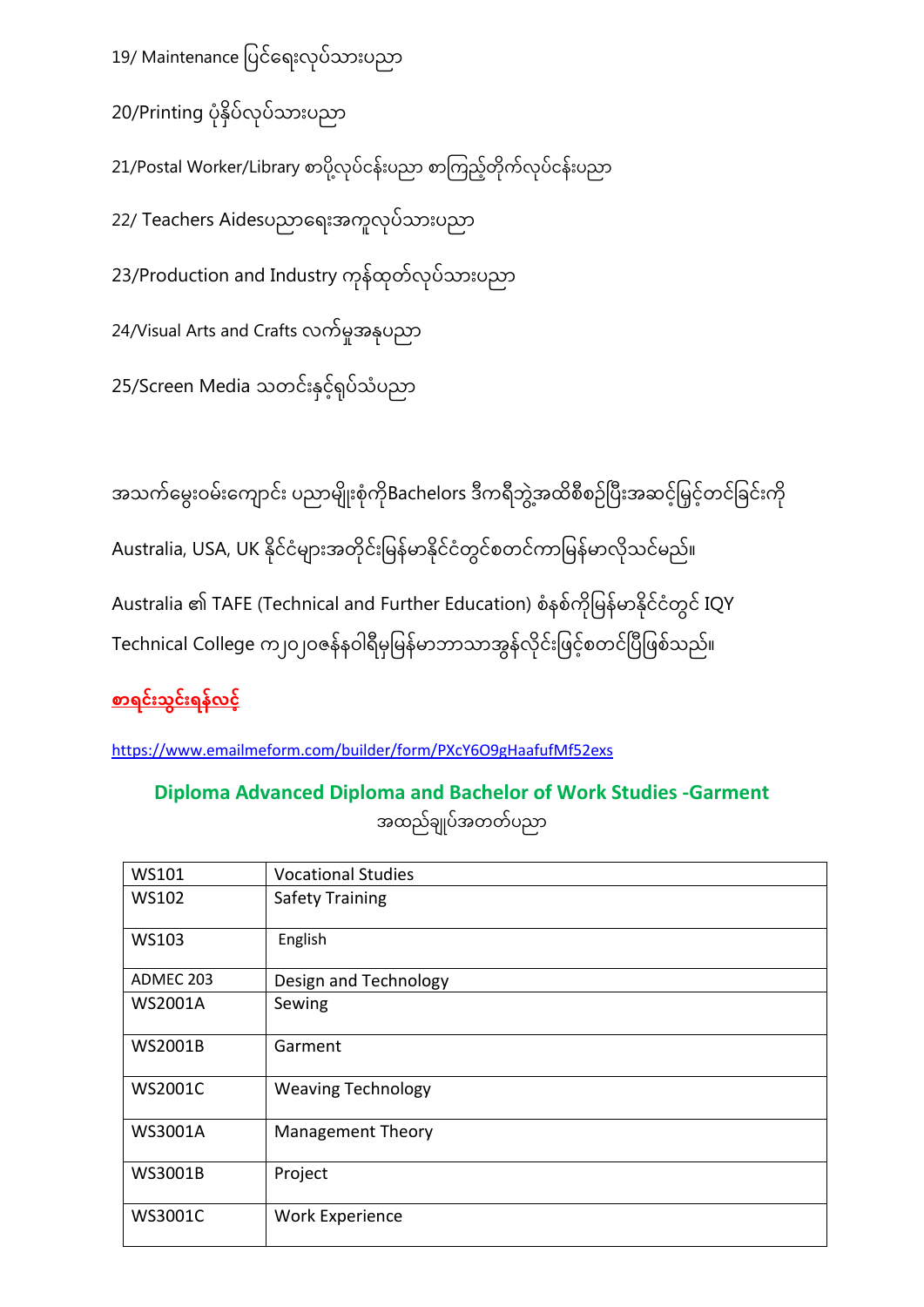19/ Maintenance ပြင်ရေးလုပ်သားပညာ

20/Printing ပုံနှိပ်လုပ်သားပညာ

21/Postal Worker/Library စာပို့လုပ်ငန်းပညာ စာကြည့်တိုက်လုပ်ငန်းပညာ

22/ Teachers Aidesပညာရေးအကူလုပ်သားပညာ

23/Production and Industry ကုန်ထုတ်လုပ်သားပညာ

24/Visual Arts and Crafts လက်မှုအနုံပညာ

25/Screen Media သတင်းနှင့်ရှပ်သံပညာ

အသက်မွေးဝမ်းကျောင်း ပညာမျိုးစုံကိုBachelors ဒီကရီဘွဲ့အထိစီစဉ်ပြီးအဆင့်မြှင့်တင်ခြင်းကို Australia, USA, UK နိုင်ငံများအတိုင်းမြန်မာနိုင်ငံတွင်စတင်ကာမြန်မာလိုသင်မည်။ Australia ၏ TAFE (Technical and Further Education) စံနစ်ကိုမြန်မာနိုင်ငံတွင် IQY Technical College က၂၀၂၀ဇန်နဝါရီမှမြန်မာဘာသာအွန်လိုင်းဖြင့်စတင်ပြီဖြစ်သည်။

## <u>စာရင်းသွင်းရန်လင့်</u>

<https://www.emailmeform.com/builder/form/PXcY6O9gHaafufMf52exs>

**Diploma Advanced Diploma and Bachelor of Work Studies -Garment**  အထည်ချ ပ်အတတ်ပညာ

| WS101          | <b>Vocational Studies</b> |
|----------------|---------------------------|
| WS102          | <b>Safety Training</b>    |
| WS103          | English                   |
| ADMEC 203      | Design and Technology     |
| <b>WS2001A</b> | Sewing                    |
| <b>WS2001B</b> | Garment                   |
| <b>WS2001C</b> | <b>Weaving Technology</b> |
| <b>WS3001A</b> | <b>Management Theory</b>  |
| <b>WS3001B</b> | Project                   |
| <b>WS3001C</b> | <b>Work Experience</b>    |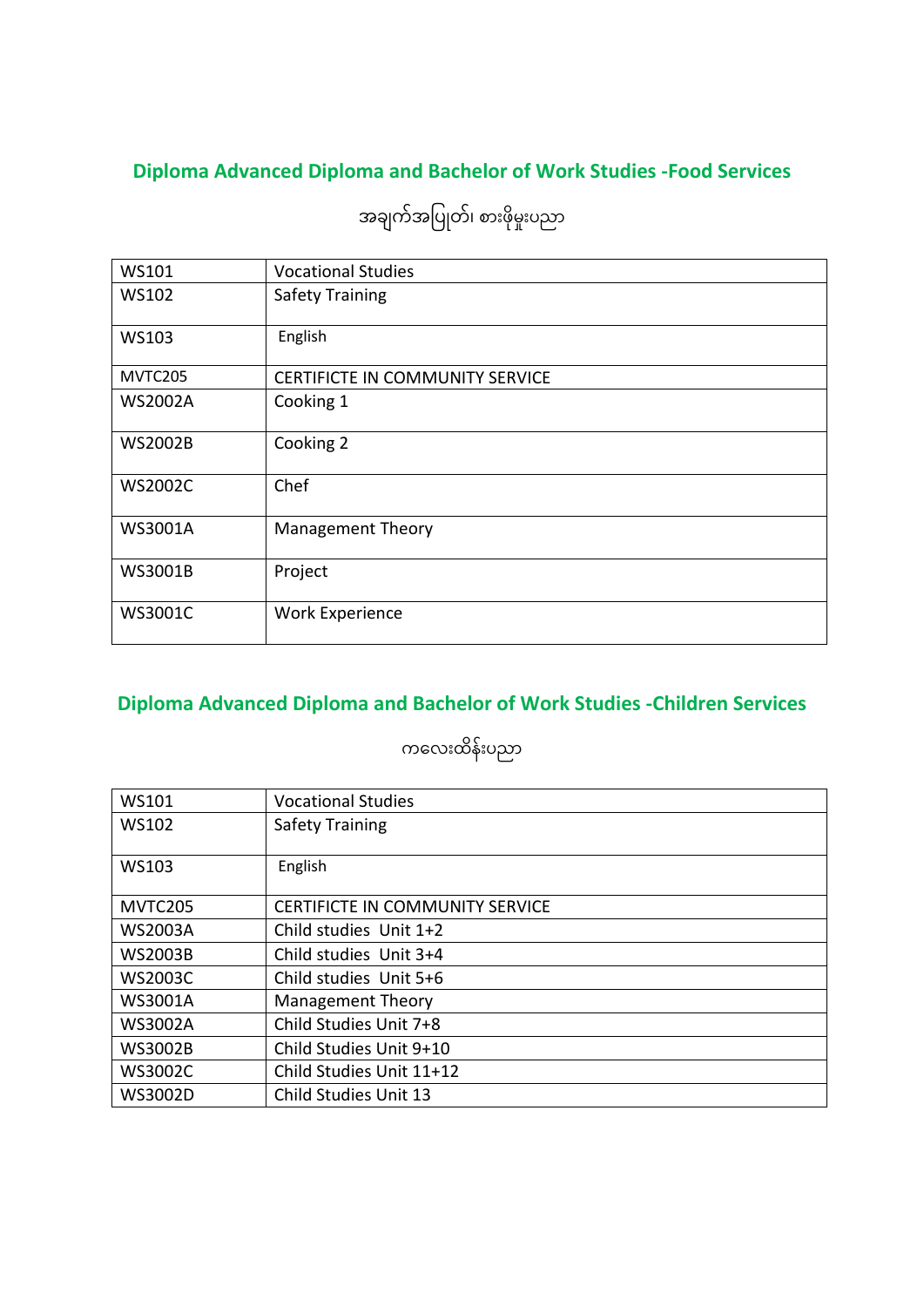## **Diploma Advanced Diploma and Bachelor of Work Studies -Food Services**

| <b>WS101</b>   | <b>Vocational Studies</b>              |
|----------------|----------------------------------------|
| <b>WS102</b>   | <b>Safety Training</b>                 |
| <b>WS103</b>   | English                                |
| MVTC205        | <b>CERTIFICTE IN COMMUNITY SERVICE</b> |
| <b>WS2002A</b> | Cooking 1                              |
| <b>WS2002B</b> | Cooking 2                              |
| <b>WS2002C</b> | Chef                                   |
| WS3001A        | <b>Management Theory</b>               |
| WS3001B        | Project                                |
| <b>WS3001C</b> | <b>Work Experience</b>                 |

အချက်အပြုတ်၊ စားဖိုမှုးပညာ

## **Diploma Advanced Diploma and Bachelor of Work Studies -Children Services**

ကလေးထိန်းပညာ

| WS101          | <b>Vocational Studies</b>              |
|----------------|----------------------------------------|
| WS102          | <b>Safety Training</b>                 |
| WS103          | English                                |
| <b>MVTC205</b> | <b>CERTIFICTE IN COMMUNITY SERVICE</b> |
| <b>WS2003A</b> | Child studies Unit 1+2                 |
| <b>WS2003B</b> | Child studies Unit 3+4                 |
| WS2003C        | Child studies Unit 5+6                 |
| <b>WS3001A</b> | <b>Management Theory</b>               |
| <b>WS3002A</b> | Child Studies Unit 7+8                 |
| <b>WS3002B</b> | Child Studies Unit 9+10                |
| <b>WS3002C</b> | Child Studies Unit 11+12               |
| WS3002D        | Child Studies Unit 13                  |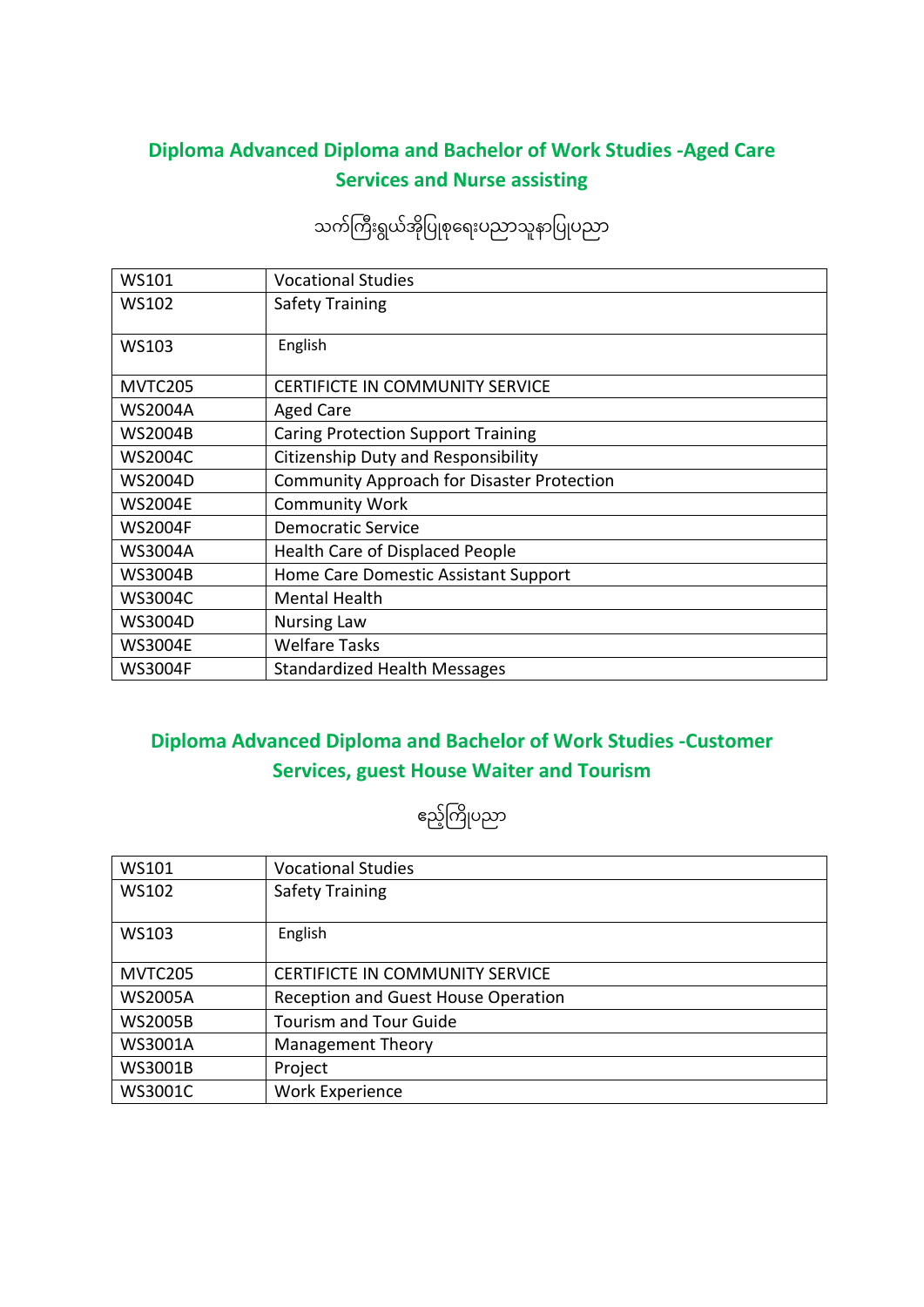### **Diploma Advanced Diploma and Bachelor of Work Studies -Aged Care Services and Nurse assisting**

## သက်ကြီးရွယ်အိုပြုစုရေးပညာသူနာပြုပညာ

| <b>WS101</b>   | <b>Vocational Studies</b>                         |
|----------------|---------------------------------------------------|
| WS102          | <b>Safety Training</b>                            |
| <b>WS103</b>   | English                                           |
| MVTC205        | <b>CERTIFICTE IN COMMUNITY SERVICE</b>            |
| <b>WS2004A</b> | <b>Aged Care</b>                                  |
| <b>WS2004B</b> | <b>Caring Protection Support Training</b>         |
| <b>WS2004C</b> | Citizenship Duty and Responsibility               |
| <b>WS2004D</b> | <b>Community Approach for Disaster Protection</b> |
| <b>WS2004E</b> | <b>Community Work</b>                             |
| <b>WS2004F</b> | <b>Democratic Service</b>                         |
| <b>WS3004A</b> | <b>Health Care of Displaced People</b>            |
| <b>WS3004B</b> | Home Care Domestic Assistant Support              |
| <b>WS3004C</b> | <b>Mental Health</b>                              |
| <b>WS3004D</b> | <b>Nursing Law</b>                                |
| <b>WS3004E</b> | <b>Welfare Tasks</b>                              |
| <b>WS3004F</b> | <b>Standardized Health Messages</b>               |

#### **Diploma Advanced Diploma and Bachelor of Work Studies -Customer Services, guest House Waiter and Tourism**

ဧည့်ကြိုပညာ

| <b>WS101</b>   | <b>Vocational Studies</b>              |
|----------------|----------------------------------------|
| <b>WS102</b>   | <b>Safety Training</b>                 |
| WS103          | English                                |
| MVTC205        | <b>CERTIFICTE IN COMMUNITY SERVICE</b> |
| <b>WS2005A</b> | Reception and Guest House Operation    |
| <b>WS2005B</b> | <b>Tourism and Tour Guide</b>          |
| WS3001A        | <b>Management Theory</b>               |
| <b>WS3001B</b> | Project                                |
| <b>WS3001C</b> | <b>Work Experience</b>                 |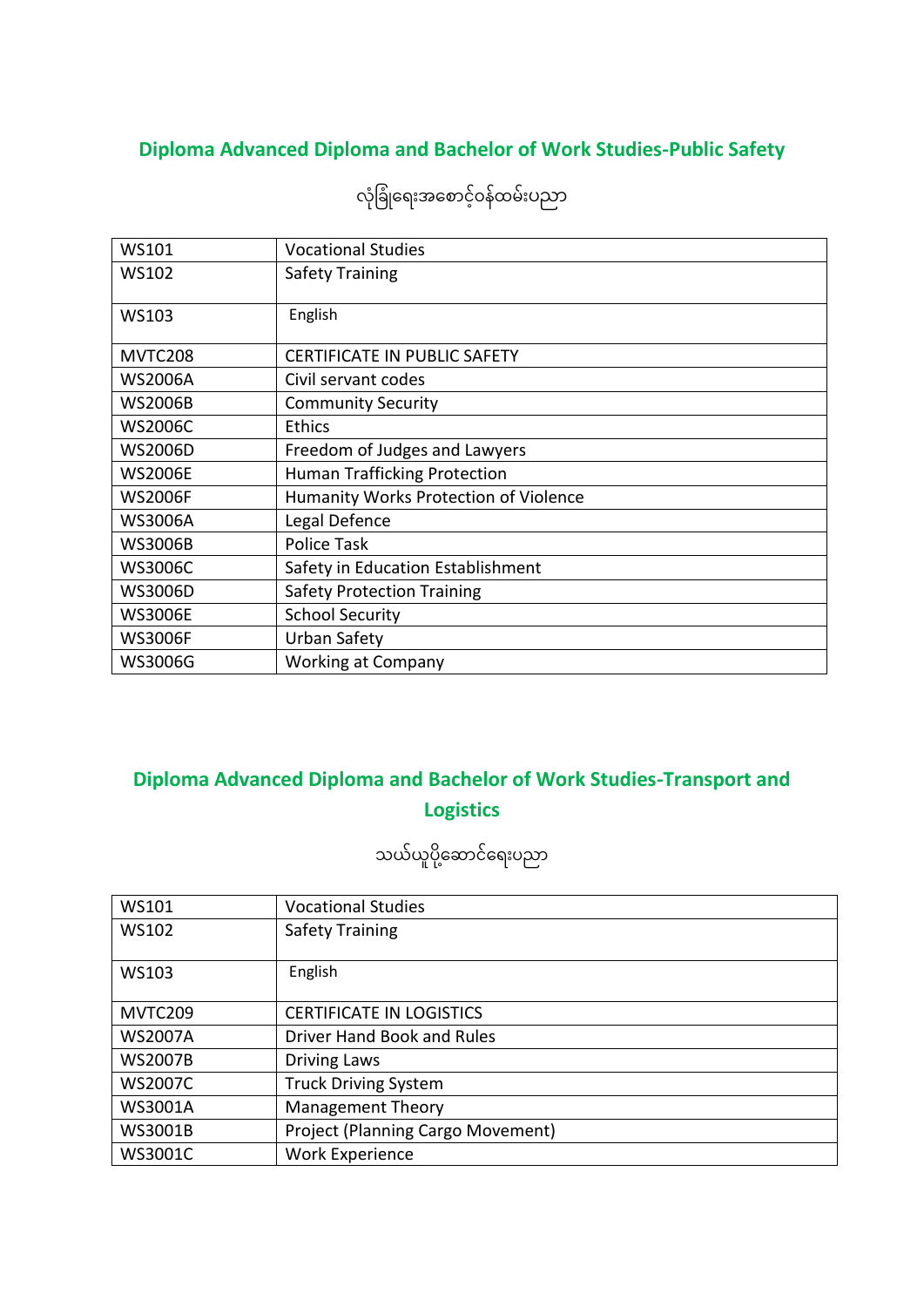### **Diploma Advanced Diploma and Bachelor of Work Studies-Public Safety**

| <b>WS101</b>   | <b>Vocational Studies</b>                    |
|----------------|----------------------------------------------|
| <b>WS102</b>   | <b>Safety Training</b>                       |
| <b>WS103</b>   | English                                      |
| MVTC208        | <b>CERTIFICATE IN PUBLIC SAFETY</b>          |
| <b>WS2006A</b> | Civil servant codes                          |
| <b>WS2006B</b> | <b>Community Security</b>                    |
| <b>WS2006C</b> | <b>Ethics</b>                                |
| <b>WS2006D</b> | Freedom of Judges and Lawyers                |
| <b>WS2006E</b> | <b>Human Trafficking Protection</b>          |
| <b>WS2006F</b> | <b>Humanity Works Protection of Violence</b> |
| <b>WS3006A</b> | Legal Defence                                |
| <b>WS3006B</b> | Police Task                                  |
| <b>WS3006C</b> | Safety in Education Establishment            |
| <b>WS3006D</b> | <b>Safety Protection Training</b>            |
| <b>WS3006E</b> | <b>School Security</b>                       |
| <b>WS3006F</b> | Urban Safety                                 |
| <b>WS3006G</b> | <b>Working at Company</b>                    |

လုံခြုံရေးအစောင့်ဝန်ထမ်းပညာ

### **Diploma Advanced Diploma and Bachelor of Work Studies-Transport and Logistics**

## သယ်ယူပို့ဆောင်ရေးပညာ

| WS101          | <b>Vocational Studies</b>                |
|----------------|------------------------------------------|
| <b>WS102</b>   | <b>Safety Training</b>                   |
|                |                                          |
| <b>WS103</b>   | English                                  |
|                |                                          |
| MVTC209        | <b>CERTIFICATE IN LOGISTICS</b>          |
| <b>WS2007A</b> | Driver Hand Book and Rules               |
| <b>WS2007B</b> | <b>Driving Laws</b>                      |
| <b>WS2007C</b> | <b>Truck Driving System</b>              |
| <b>WS3001A</b> | <b>Management Theory</b>                 |
| <b>WS3001B</b> | <b>Project (Planning Cargo Movement)</b> |
| <b>WS3001C</b> | <b>Work Experience</b>                   |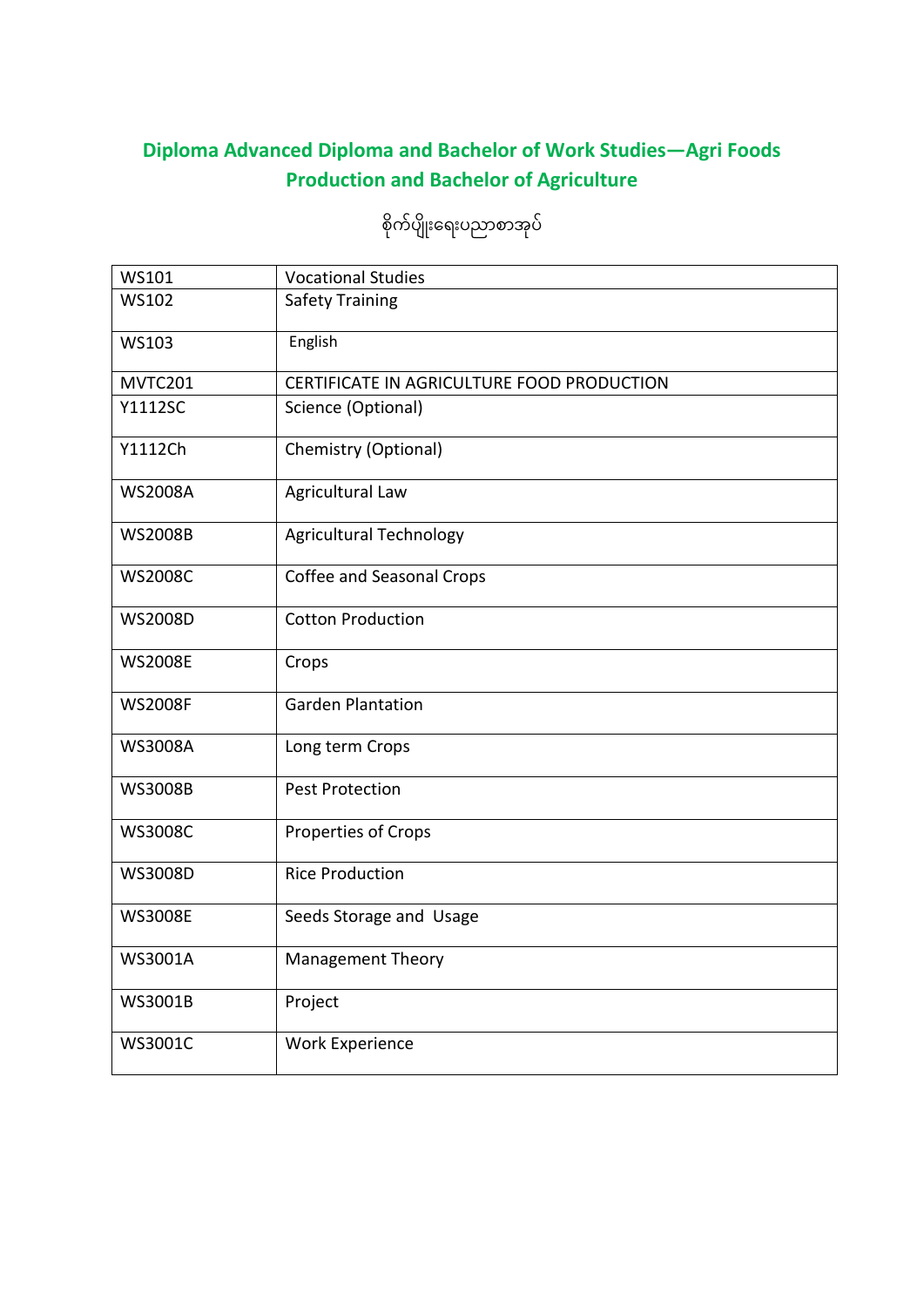## **Diploma Advanced Diploma and Bachelor of Work Studies—Agri Foods Production and Bachelor of Agriculture**

| WS101          | <b>Vocational Studies</b>                  |
|----------------|--------------------------------------------|
| <b>WS102</b>   | <b>Safety Training</b>                     |
| <b>WS103</b>   | English                                    |
| MVTC201        | CERTIFICATE IN AGRICULTURE FOOD PRODUCTION |
| Y1112SC        | Science (Optional)                         |
| Y1112Ch        | Chemistry (Optional)                       |
| <b>WS2008A</b> | Agricultural Law                           |
| <b>WS2008B</b> | <b>Agricultural Technology</b>             |
| <b>WS2008C</b> | Coffee and Seasonal Crops                  |
| <b>WS2008D</b> | <b>Cotton Production</b>                   |
| <b>WS2008E</b> | Crops                                      |
| <b>WS2008F</b> | <b>Garden Plantation</b>                   |
| <b>WS3008A</b> | Long term Crops                            |
| <b>WS3008B</b> | <b>Pest Protection</b>                     |
| <b>WS3008C</b> | Properties of Crops                        |
| WS3008D        | <b>Rice Production</b>                     |
| <b>WS3008E</b> | Seeds Storage and Usage                    |
| WS3001A        | Management Theory                          |
| WS3001B        | Project                                    |
| WS3001C        | <b>Work Experience</b>                     |

စိုက်ပျိုးရေးပညာစာအုပ်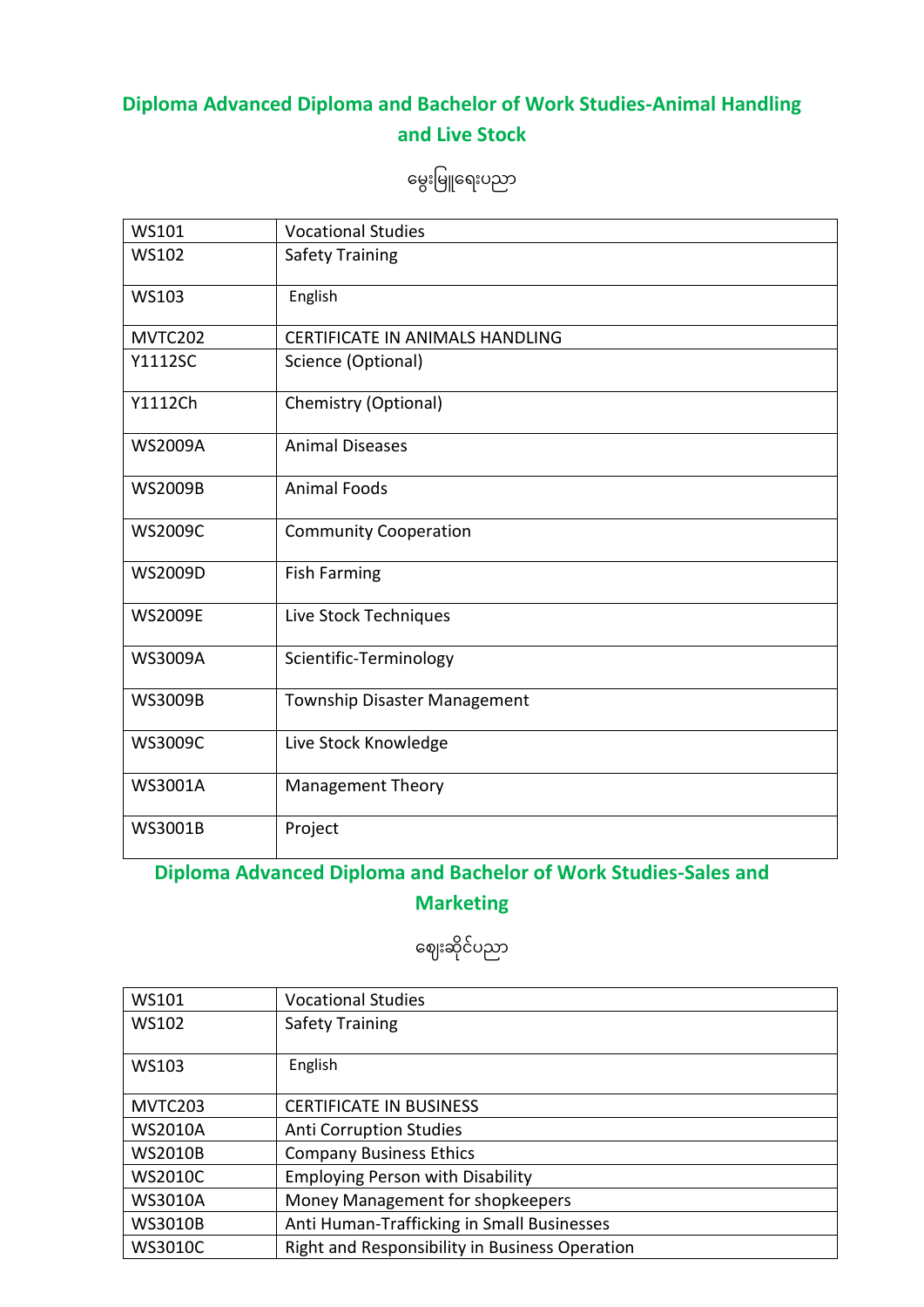#### **Diploma Advanced Diploma and Bachelor of Work Studies-Animal Handling and Live Stock**

မွေးမြူရေးပညာ

| <b>WS101</b>   | <b>Vocational Studies</b>              |
|----------------|----------------------------------------|
| <b>WS102</b>   | <b>Safety Training</b>                 |
| WS103          | English                                |
| MVTC202        | <b>CERTIFICATE IN ANIMALS HANDLING</b> |
| Y1112SC        | Science (Optional)                     |
| Y1112Ch        | Chemistry (Optional)                   |
| <b>WS2009A</b> | <b>Animal Diseases</b>                 |
| <b>WS2009B</b> | <b>Animal Foods</b>                    |
| <b>WS2009C</b> | <b>Community Cooperation</b>           |
| <b>WS2009D</b> | <b>Fish Farming</b>                    |
| <b>WS2009E</b> | Live Stock Techniques                  |
| <b>WS3009A</b> | Scientific-Terminology                 |
| <b>WS3009B</b> | <b>Township Disaster Management</b>    |
| <b>WS3009C</b> | Live Stock Knowledge                   |
| <b>WS3001A</b> | <b>Management Theory</b>               |
| WS3001B        | Project                                |

#### **Diploma Advanced Diploma and Bachelor of Work Studies-Sales and Marketing**

ဈေးဆိုင်ပညာ

| WS101          | <b>Vocational Studies</b>                      |
|----------------|------------------------------------------------|
| <b>WS102</b>   | <b>Safety Training</b>                         |
|                |                                                |
| <b>WS103</b>   | English                                        |
|                |                                                |
| MVTC203        | <b>CERTIFICATE IN BUSINESS</b>                 |
| <b>WS2010A</b> | <b>Anti Corruption Studies</b>                 |
| <b>WS2010B</b> | <b>Company Business Ethics</b>                 |
| <b>WS2010C</b> | <b>Employing Person with Disability</b>        |
| <b>WS3010A</b> | Money Management for shopkeepers               |
| <b>WS3010B</b> | Anti Human-Trafficking in Small Businesses     |
| <b>WS3010C</b> | Right and Responsibility in Business Operation |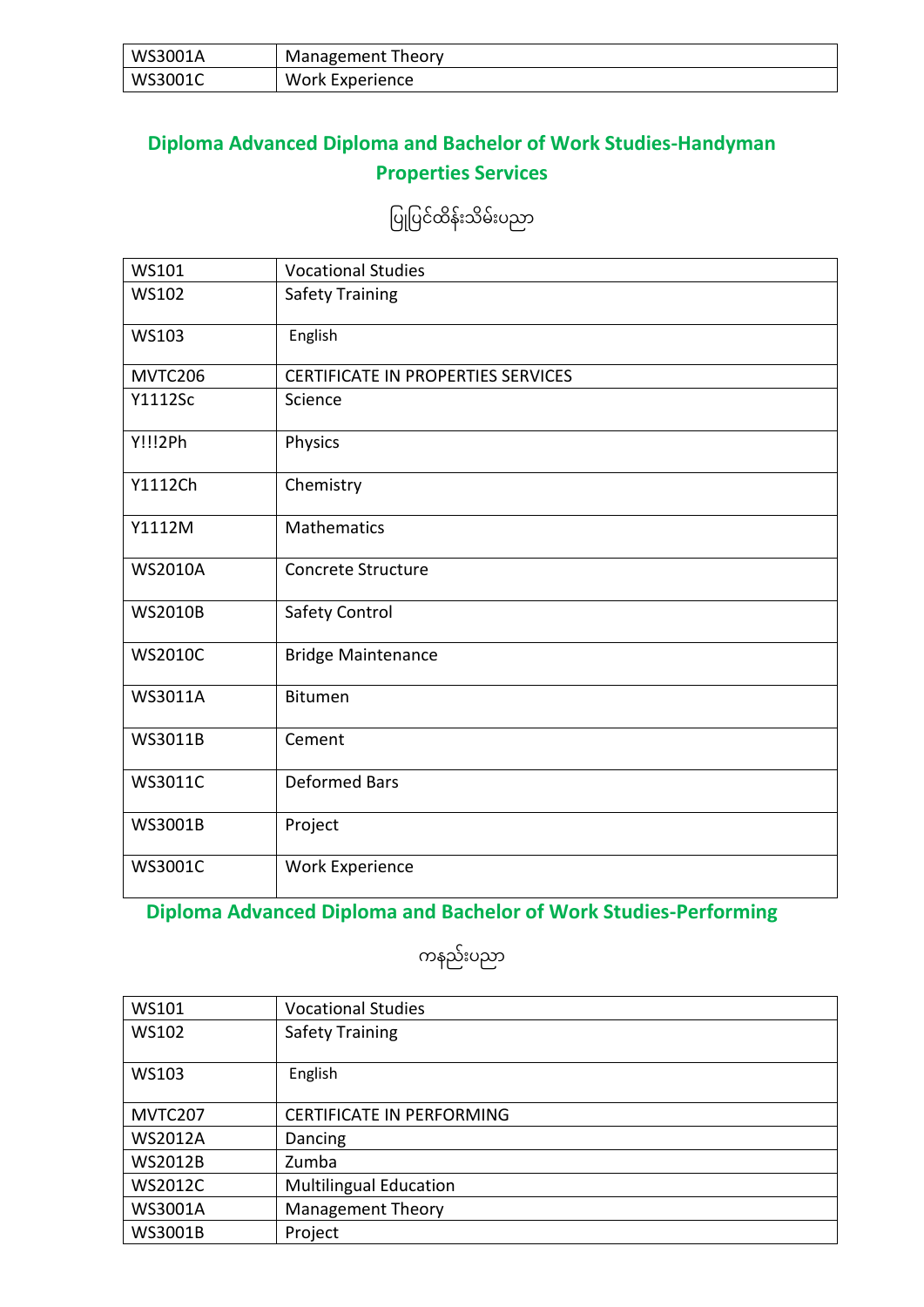| WS3001A | Management Theory |
|---------|-------------------|
| WS3001C | Work Experience   |

#### **Diploma Advanced Diploma and Bachelor of Work Studies-Handyman Properties Services**

ပြုပြင်ထိန်းသိမ်းပညာ

| WS101          | <b>Vocational Studies</b>                 |
|----------------|-------------------------------------------|
| <b>WS102</b>   | <b>Safety Training</b>                    |
| WS103          | English                                   |
| <b>MVTC206</b> | <b>CERTIFICATE IN PROPERTIES SERVICES</b> |
| Y1112Sc        | Science                                   |
| Y!!!2Ph        | Physics                                   |
| Y1112Ch        | Chemistry                                 |
| Y1112M         | <b>Mathematics</b>                        |
| <b>WS2010A</b> | Concrete Structure                        |
| <b>WS2010B</b> | <b>Safety Control</b>                     |
| <b>WS2010C</b> | <b>Bridge Maintenance</b>                 |
| <b>WS3011A</b> | <b>Bitumen</b>                            |
| <b>WS3011B</b> | Cement                                    |
| WS3011C        | <b>Deformed Bars</b>                      |
| WS3001B        | Project                                   |
| <b>WS3001C</b> | Work Experience                           |

#### **Diploma Advanced Diploma and Bachelor of Work Studies-Performing**

ကနည််းပညာ

| WS101          | <b>Vocational Studies</b>        |
|----------------|----------------------------------|
| WS102          | <b>Safety Training</b>           |
|                |                                  |
| WS103          | English                          |
|                |                                  |
| MVTC207        | <b>CERTIFICATE IN PERFORMING</b> |
| <b>WS2012A</b> | Dancing                          |
| <b>WS2012B</b> | Zumba                            |
| <b>WS2012C</b> | <b>Multilingual Education</b>    |
| <b>WS3001A</b> | <b>Management Theory</b>         |
| <b>WS3001B</b> | Project                          |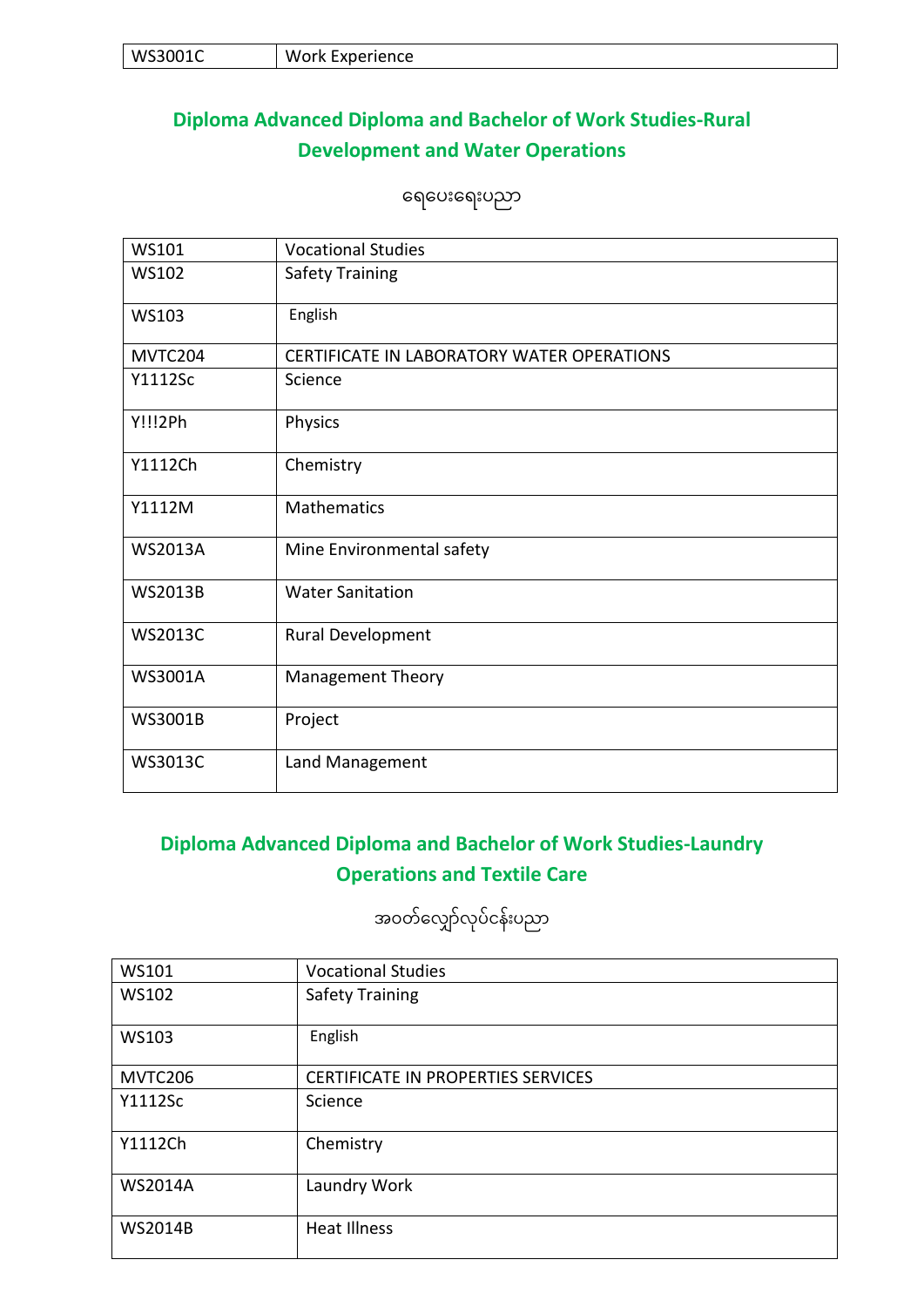| WS3001C<br>・エヒ | . Wo<br>Experience:<br>/ork<br>$- \cdot$ |
|----------------|------------------------------------------|
|----------------|------------------------------------------|

#### **Diploma Advanced Diploma and Bachelor of Work Studies-Rural Development and Water Operations**

မရမပ်းမရ်းပညာ

| WS101          | <b>Vocational Studies</b>                  |
|----------------|--------------------------------------------|
| <b>WS102</b>   | <b>Safety Training</b>                     |
| WS103          | English                                    |
| MVTC204        | CERTIFICATE IN LABORATORY WATER OPERATIONS |
| Y1112Sc        | Science                                    |
| Y!!!2Ph        | Physics                                    |
| Y1112Ch        | Chemistry                                  |
| Y1112M         | Mathematics                                |
| <b>WS2013A</b> | Mine Environmental safety                  |
| <b>WS2013B</b> | <b>Water Sanitation</b>                    |
| <b>WS2013C</b> | Rural Development                          |
| WS3001A        | <b>Management Theory</b>                   |
| WS3001B        | Project                                    |
| WS3013C        | Land Management                            |

#### **Diploma Advanced Diploma and Bachelor of Work Studies-Laundry Operations and Textile Care**

အဝတ်လျှော်လုပ်ငန်းပညာ

| WS101          | <b>Vocational Studies</b>                 |
|----------------|-------------------------------------------|
| <b>WS102</b>   | <b>Safety Training</b>                    |
|                |                                           |
| WS103          | English                                   |
|                |                                           |
| MVTC206        | <b>CERTIFICATE IN PROPERTIES SERVICES</b> |
| Y1112Sc        | Science                                   |
|                |                                           |
| Y1112Ch        | Chemistry                                 |
|                |                                           |
| <b>WS2014A</b> | Laundry Work                              |
|                |                                           |
| <b>WS2014B</b> | <b>Heat Illness</b>                       |
|                |                                           |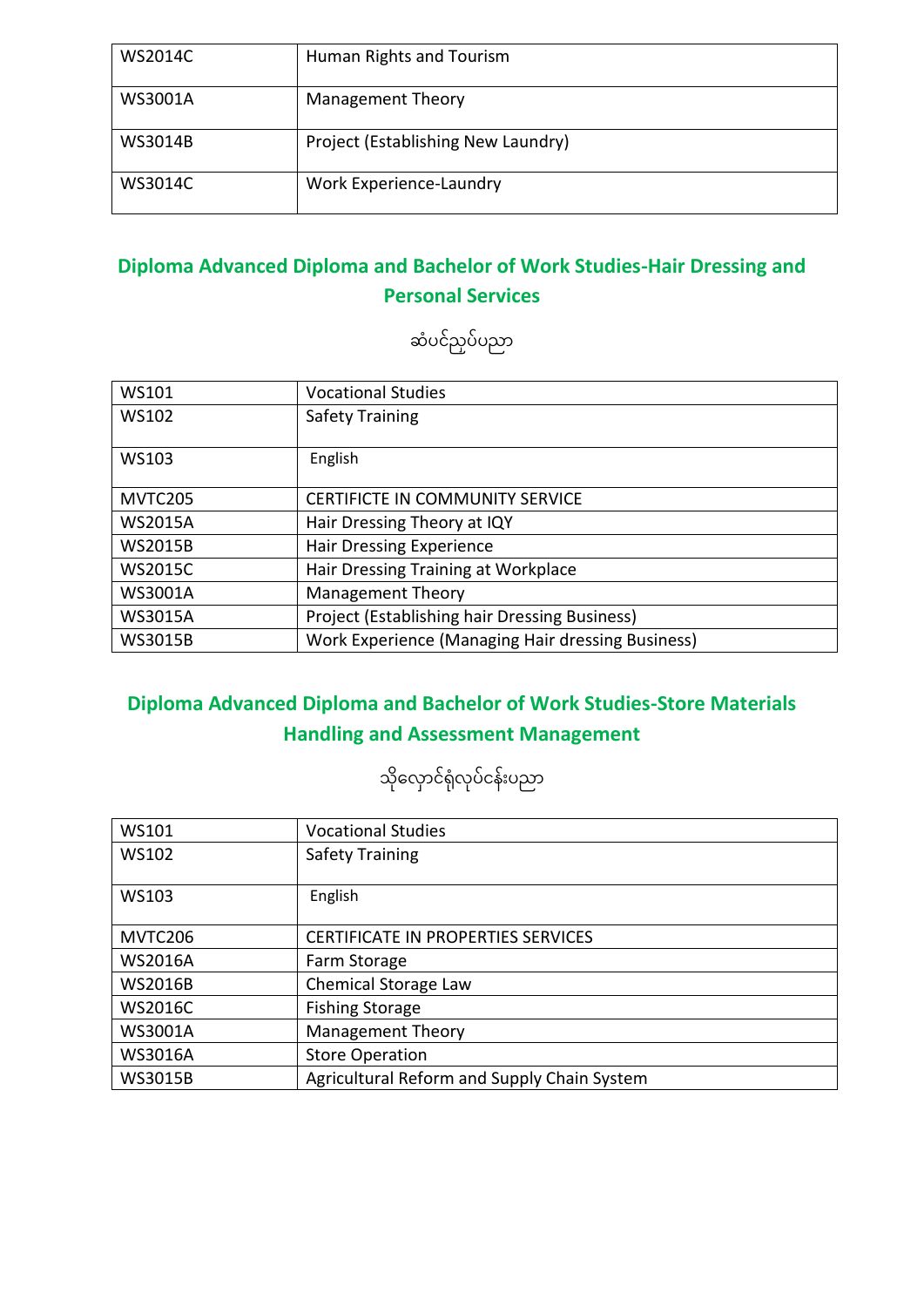| <b>WS2014C</b> | Human Rights and Tourism           |
|----------------|------------------------------------|
| <b>WS3001A</b> | <b>Management Theory</b>           |
| <b>WS3014B</b> | Project (Establishing New Laundry) |
| <b>WS3014C</b> | Work Experience-Laundry            |

#### **Diploma Advanced Diploma and Bachelor of Work Studies-Hair Dressing and Personal Services**

ဆံပင်ညှပ်ပညာ

| <b>WS101</b>   | <b>Vocational Studies</b>                                |
|----------------|----------------------------------------------------------|
| WS102          | <b>Safety Training</b>                                   |
|                |                                                          |
| <b>WS103</b>   | English                                                  |
|                |                                                          |
| MVTC205        | <b>CERTIFICTE IN COMMUNITY SERVICE</b>                   |
| <b>WS2015A</b> | Hair Dressing Theory at IQY                              |
| <b>WS2015B</b> | <b>Hair Dressing Experience</b>                          |
| <b>WS2015C</b> | Hair Dressing Training at Workplace                      |
| <b>WS3001A</b> | <b>Management Theory</b>                                 |
| <b>WS3015A</b> | Project (Establishing hair Dressing Business)            |
| <b>WS3015B</b> | <b>Work Experience (Managing Hair dressing Business)</b> |

### **Diploma Advanced Diploma and Bachelor of Work Studies-Store Materials Handling and Assessment Management**

သိုလှောင်ရုံလုပ်ငန်းပညာ

| WS101          | <b>Vocational Studies</b>                   |
|----------------|---------------------------------------------|
| WS102          | <b>Safety Training</b>                      |
|                |                                             |
| WS103          | English                                     |
|                |                                             |
| MVTC206        | <b>CERTIFICATE IN PROPERTIES SERVICES</b>   |
| <b>WS2016A</b> | Farm Storage                                |
| <b>WS2016B</b> | Chemical Storage Law                        |
| <b>WS2016C</b> | <b>Fishing Storage</b>                      |
| <b>WS3001A</b> | <b>Management Theory</b>                    |
| <b>WS3016A</b> | <b>Store Operation</b>                      |
| <b>WS3015B</b> | Agricultural Reform and Supply Chain System |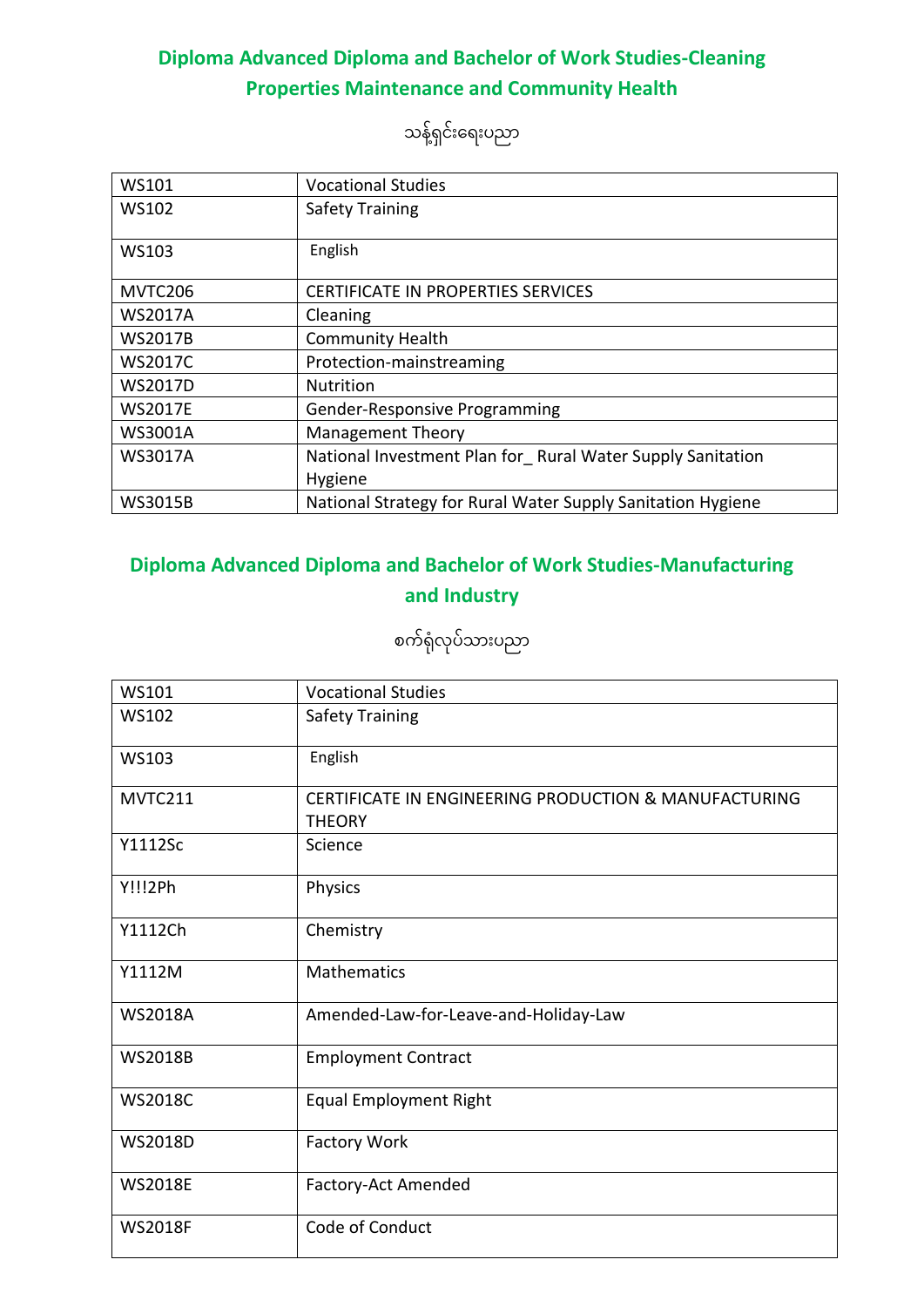#### **Diploma Advanced Diploma and Bachelor of Work Studies-Cleaning Properties Maintenance and Community Health**

သန့်ရှင်းရေးပညာ

| WS101          | <b>Vocational Studies</b>                                   |
|----------------|-------------------------------------------------------------|
| <b>WS102</b>   | <b>Safety Training</b>                                      |
|                |                                                             |
| WS103          | English                                                     |
| MVTC206        | <b>CERTIFICATE IN PROPERTIES SERVICES</b>                   |
| <b>WS2017A</b> | Cleaning                                                    |
| <b>WS2017B</b> | <b>Community Health</b>                                     |
| <b>WS2017C</b> | Protection-mainstreaming                                    |
| <b>WS2017D</b> | <b>Nutrition</b>                                            |
| <b>WS2017E</b> | <b>Gender-Responsive Programming</b>                        |
| <b>WS3001A</b> | <b>Management Theory</b>                                    |
| <b>WS3017A</b> | National Investment Plan for Rural Water Supply Sanitation  |
|                | Hygiene                                                     |
| <b>WS3015B</b> | National Strategy for Rural Water Supply Sanitation Hygiene |

#### **Diploma Advanced Diploma and Bachelor of Work Studies-Manufacturing and Industry**

စက်ရုံလုပ်သားပညာ

| <b>WS101</b>   | <b>Vocational Studies</b>                                              |
|----------------|------------------------------------------------------------------------|
| <b>WS102</b>   | <b>Safety Training</b>                                                 |
| WS103          | English                                                                |
| MVTC211        | CERTIFICATE IN ENGINEERING PRODUCTION & MANUFACTURING<br><b>THEORY</b> |
| Y1112Sc        | Science                                                                |
| <b>Y!!!2Ph</b> | Physics                                                                |
| Y1112Ch        | Chemistry                                                              |
| Y1112M         | <b>Mathematics</b>                                                     |
| <b>WS2018A</b> | Amended-Law-for-Leave-and-Holiday-Law                                  |
| <b>WS2018B</b> | <b>Employment Contract</b>                                             |
| <b>WS2018C</b> | <b>Equal Employment Right</b>                                          |
| <b>WS2018D</b> | <b>Factory Work</b>                                                    |
| <b>WS2018E</b> | Factory-Act Amended                                                    |
| <b>WS2018F</b> | Code of Conduct                                                        |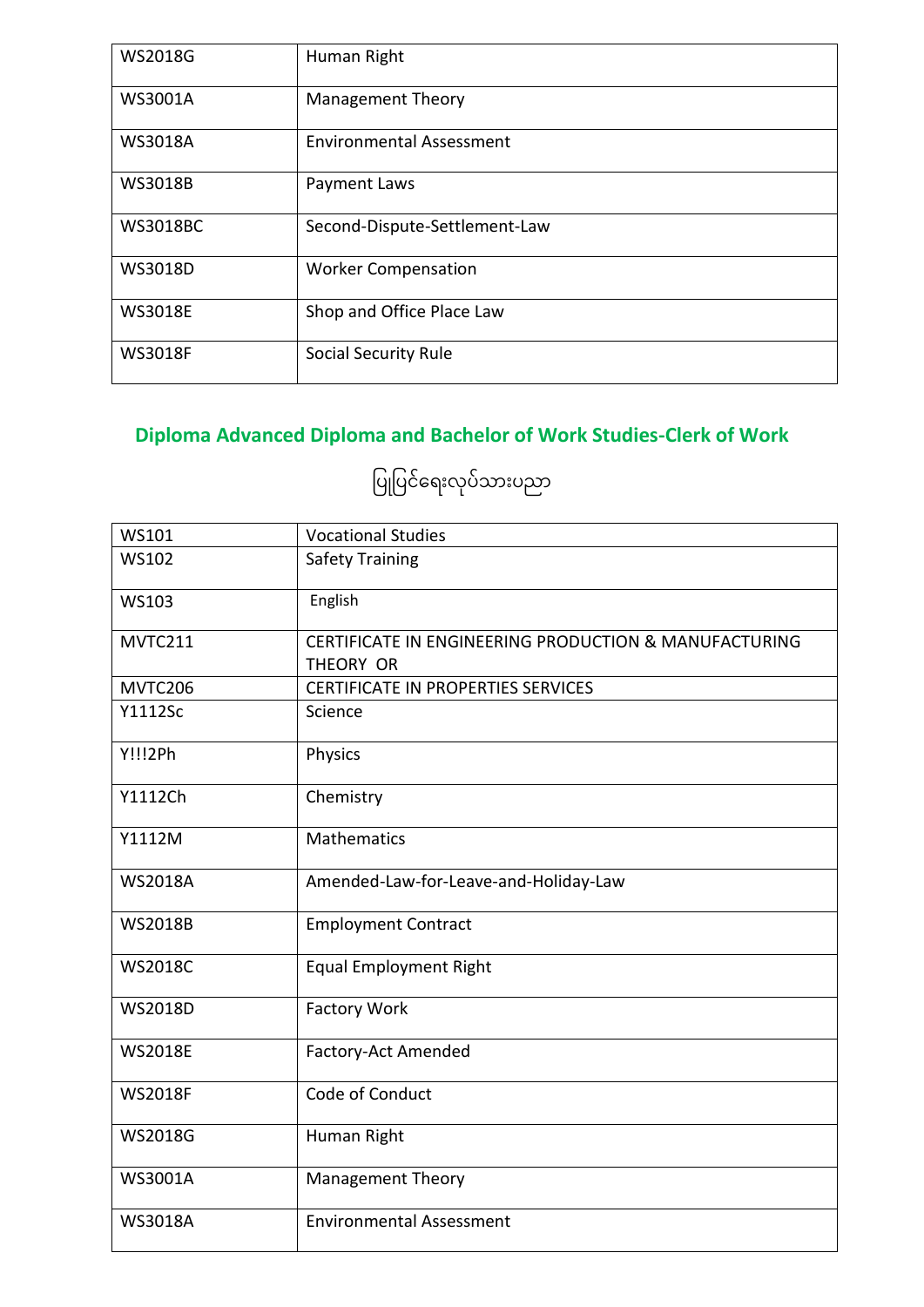| <b>WS2018G</b>  | Human Right                     |
|-----------------|---------------------------------|
| WS3001A         | <b>Management Theory</b>        |
| <b>WS3018A</b>  | <b>Environmental Assessment</b> |
| <b>WS3018B</b>  | Payment Laws                    |
| <b>WS3018BC</b> | Second-Dispute-Settlement-Law   |
| WS3018D         | <b>Worker Compensation</b>      |
| <b>WS3018E</b>  | Shop and Office Place Law       |
| <b>WS3018F</b>  | Social Security Rule            |

## **Diploma Advanced Diploma and Bachelor of Work Studies-Clerk of Work**

ပြုပြင်ရေးလုပ်သားပညာ

| <b>WS101</b>   | <b>Vocational Studies</b>                                          |
|----------------|--------------------------------------------------------------------|
| <b>WS102</b>   | <b>Safety Training</b>                                             |
| <b>WS103</b>   | English                                                            |
| MVTC211        | CERTIFICATE IN ENGINEERING PRODUCTION & MANUFACTURING<br>THEORY OR |
| MVTC206        | CERTIFICATE IN PROPERTIES SERVICES                                 |
| <b>Y1112Sc</b> | Science                                                            |
| Y!!!2Ph        | Physics                                                            |
| Y1112Ch        | Chemistry                                                          |
| Y1112M         | <b>Mathematics</b>                                                 |
| <b>WS2018A</b> | Amended-Law-for-Leave-and-Holiday-Law                              |
| <b>WS2018B</b> | <b>Employment Contract</b>                                         |
| <b>WS2018C</b> | <b>Equal Employment Right</b>                                      |
| WS2018D        | <b>Factory Work</b>                                                |
| <b>WS2018E</b> | Factory-Act Amended                                                |
| <b>WS2018F</b> | Code of Conduct                                                    |
| <b>WS2018G</b> | Human Right                                                        |
| <b>WS3001A</b> | <b>Management Theory</b>                                           |
| <b>WS3018A</b> | <b>Environmental Assessment</b>                                    |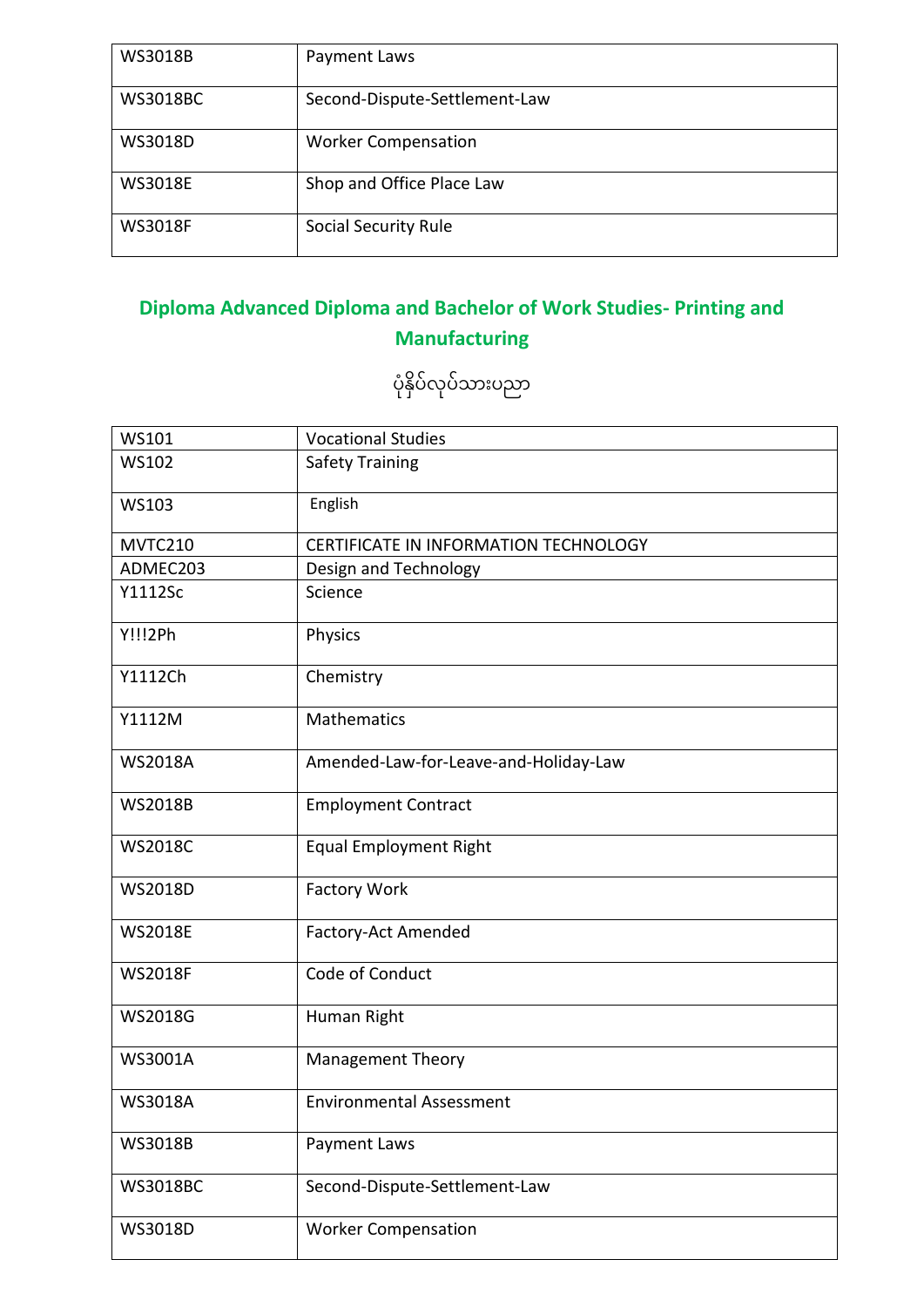| <b>WS3018B</b>  | Payment Laws                  |
|-----------------|-------------------------------|
| <b>WS3018BC</b> | Second-Dispute-Settlement-Law |
| WS3018D         | <b>Worker Compensation</b>    |
| <b>WS3018E</b>  | Shop and Office Place Law     |
| <b>WS3018F</b>  | <b>Social Security Rule</b>   |

## **Diploma Advanced Diploma and Bachelor of Work Studies- Printing and Manufacturing**

ပုံနှိပ်လုပ်သားပညာ

| WS101           | <b>Vocational Studies</b>             |
|-----------------|---------------------------------------|
| <b>WS102</b>    | <b>Safety Training</b>                |
| <b>WS103</b>    | English                               |
| MVTC210         | CERTIFICATE IN INFORMATION TECHNOLOGY |
| ADMEC203        | Design and Technology                 |
| Y1112Sc         | Science                               |
| Y!!!2Ph         | Physics                               |
| Y1112Ch         | Chemistry                             |
| Y1112M          | <b>Mathematics</b>                    |
| <b>WS2018A</b>  | Amended-Law-for-Leave-and-Holiday-Law |
| <b>WS2018B</b>  | <b>Employment Contract</b>            |
| <b>WS2018C</b>  | <b>Equal Employment Right</b>         |
| <b>WS2018D</b>  | <b>Factory Work</b>                   |
| <b>WS2018E</b>  | Factory-Act Amended                   |
| <b>WS2018F</b>  | Code of Conduct                       |
| <b>WS2018G</b>  | Human Right                           |
| <b>WS3001A</b>  | <b>Management Theory</b>              |
| <b>WS3018A</b>  | <b>Environmental Assessment</b>       |
| <b>WS3018B</b>  | Payment Laws                          |
| <b>WS3018BC</b> | Second-Dispute-Settlement-Law         |
| WS3018D         | <b>Worker Compensation</b>            |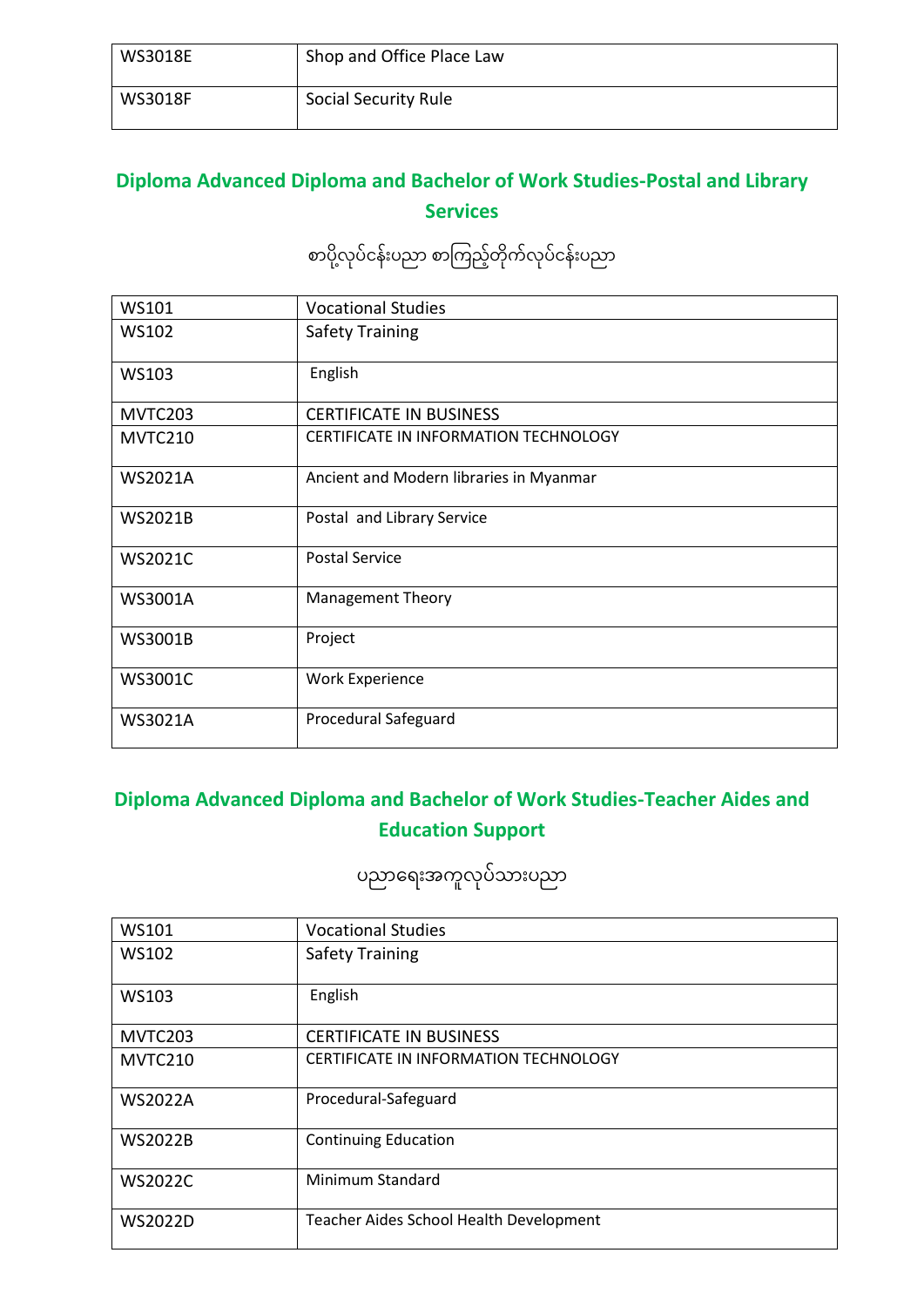| WS3018E        | Shop and Office Place Law |
|----------------|---------------------------|
| <b>WS3018F</b> | Social Security Rule      |

#### **Diploma Advanced Diploma and Bachelor of Work Studies-Postal and Library Services**

စာပို့လုပ်ငန်းပညာ စာကြည့်တိုက်လုပ်ငန်းပညာ

| WS101          | <b>Vocational Studies</b>                    |
|----------------|----------------------------------------------|
| <b>WS102</b>   | <b>Safety Training</b>                       |
| <b>WS103</b>   | English                                      |
| MVTC203        | <b>CERTIFICATE IN BUSINESS</b>               |
| MVTC210        | <b>CERTIFICATE IN INFORMATION TECHNOLOGY</b> |
| <b>WS2021A</b> | Ancient and Modern libraries in Myanmar      |
| <b>WS2021B</b> | Postal and Library Service                   |
| <b>WS2021C</b> | <b>Postal Service</b>                        |
| <b>WS3001A</b> | <b>Management Theory</b>                     |
| WS3001B        | Project                                      |
| <b>WS3001C</b> | <b>Work Experience</b>                       |
| <b>WS3021A</b> | Procedural Safeguard                         |

#### **Diploma Advanced Diploma and Bachelor of Work Studies-Teacher Aides and Education Support**

ပညာရေးအကူလုပ်သားပညာ

| WS101          | <b>Vocational Studies</b>               |
|----------------|-----------------------------------------|
| <b>WS102</b>   | <b>Safety Training</b>                  |
| <b>WS103</b>   | English                                 |
| MVTC203        | <b>CERTIFICATE IN BUSINESS</b>          |
| MVTC210        | CERTIFICATE IN INFORMATION TECHNOLOGY   |
| <b>WS2022A</b> | Procedural-Safeguard                    |
| <b>WS2022B</b> | <b>Continuing Education</b>             |
| <b>WS2022C</b> | Minimum Standard                        |
| <b>WS2022D</b> | Teacher Aides School Health Development |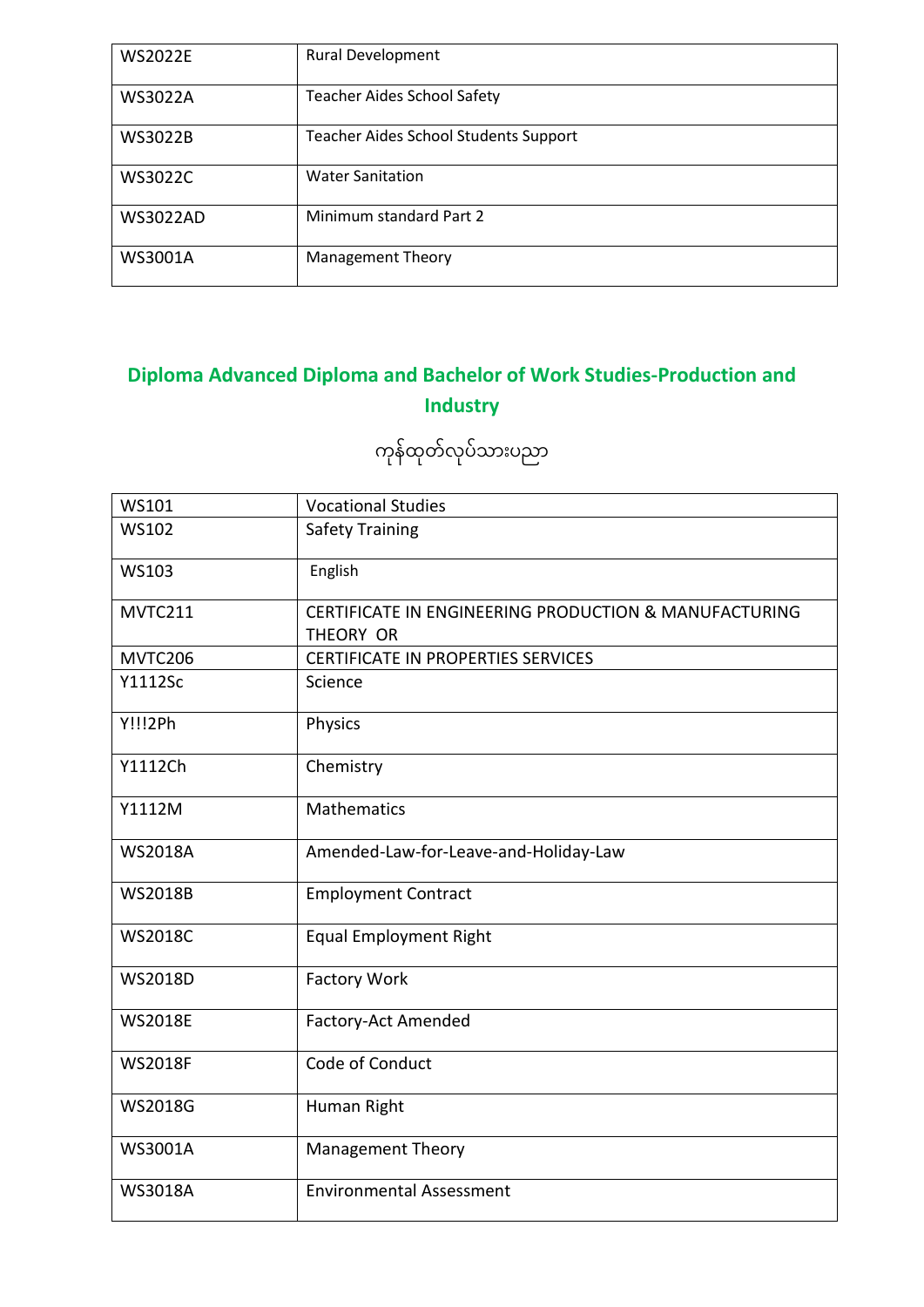| <b>WS2022E</b>  | <b>Rural Development</b>              |
|-----------------|---------------------------------------|
| <b>WS3022A</b>  | <b>Teacher Aides School Safety</b>    |
| <b>WS3022B</b>  | Teacher Aides School Students Support |
| <b>WS3022C</b>  | <b>Water Sanitation</b>               |
| <b>WS3022AD</b> | Minimum standard Part 2               |
| <b>WS3001A</b>  | <b>Management Theory</b>              |

## **Diploma Advanced Diploma and Bachelor of Work Studies-Production and Industry**

ကုန်ထုတ်လုပ်သားပညာ

| WS101          | <b>Vocational Studies</b>                                          |
|----------------|--------------------------------------------------------------------|
| <b>WS102</b>   | <b>Safety Training</b>                                             |
| <b>WS103</b>   | English                                                            |
| MVTC211        | CERTIFICATE IN ENGINEERING PRODUCTION & MANUFACTURING<br>THEORY OR |
| MVTC206        | CERTIFICATE IN PROPERTIES SERVICES                                 |
| <b>Y1112Sc</b> | Science                                                            |
| Y!!!2Ph        | Physics                                                            |
| Y1112Ch        | Chemistry                                                          |
| Y1112M         | <b>Mathematics</b>                                                 |
| <b>WS2018A</b> | Amended-Law-for-Leave-and-Holiday-Law                              |
| <b>WS2018B</b> | <b>Employment Contract</b>                                         |
| <b>WS2018C</b> | <b>Equal Employment Right</b>                                      |
| <b>WS2018D</b> | <b>Factory Work</b>                                                |
| <b>WS2018E</b> | Factory-Act Amended                                                |
| <b>WS2018F</b> | Code of Conduct                                                    |
| <b>WS2018G</b> | Human Right                                                        |
| <b>WS3001A</b> | <b>Management Theory</b>                                           |
| <b>WS3018A</b> | <b>Environmental Assessment</b>                                    |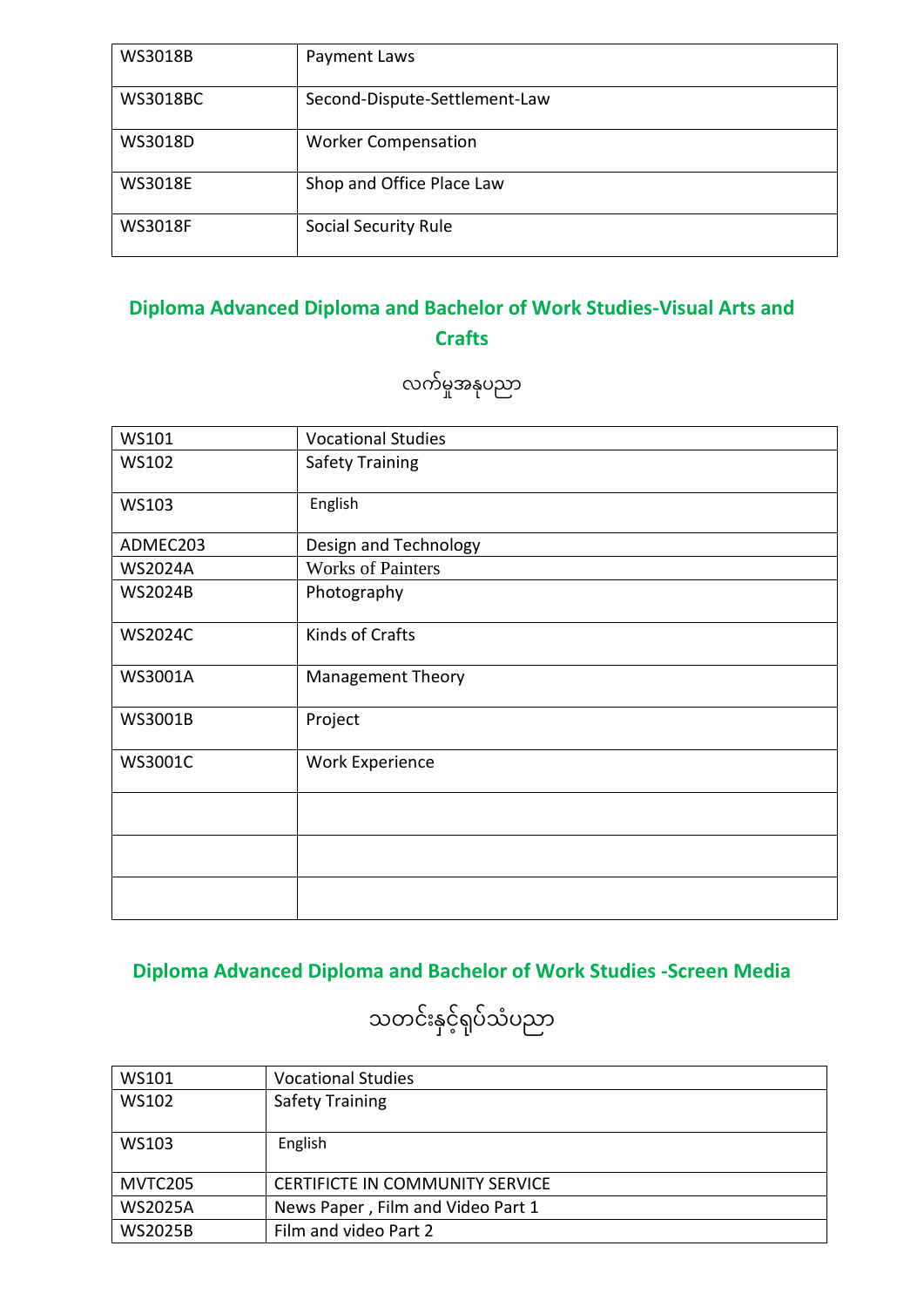| <b>WS3018B</b>  | Payment Laws                  |
|-----------------|-------------------------------|
| <b>WS3018BC</b> | Second-Dispute-Settlement-Law |
| WS3018D         | <b>Worker Compensation</b>    |
| <b>WS3018E</b>  | Shop and Office Place Law     |
| <b>WS3018F</b>  | <b>Social Security Rule</b>   |

#### **Diploma Advanced Diploma and Bachelor of Work Studies-Visual Arts and Crafts**

လက်မှုအနုံပညာ

| WS101          | <b>Vocational Studies</b> |
|----------------|---------------------------|
| <b>WS102</b>   | <b>Safety Training</b>    |
| WS103          | English                   |
| ADMEC203       | Design and Technology     |
| <b>WS2024A</b> | <b>Works of Painters</b>  |
| <b>WS2024B</b> | Photography               |
| <b>WS2024C</b> | Kinds of Crafts           |
| WS3001A        | <b>Management Theory</b>  |
| WS3001B        | Project                   |
| WS3001C        | <b>Work Experience</b>    |
|                |                           |
|                |                           |
|                |                           |

## **Diploma Advanced Diploma and Bachelor of Work Studies -Screen Media**

# သတင်းနှင့်ရှပ်သံပညာ

| WS101          | <b>Vocational Studies</b>              |
|----------------|----------------------------------------|
| WS102          | <b>Safety Training</b>                 |
|                |                                        |
| WS103          | English                                |
|                |                                        |
| MVTC205        | <b>CERTIFICTE IN COMMUNITY SERVICE</b> |
| <b>WS2025A</b> | News Paper, Film and Video Part 1      |
| <b>WS2025B</b> | Film and video Part 2                  |